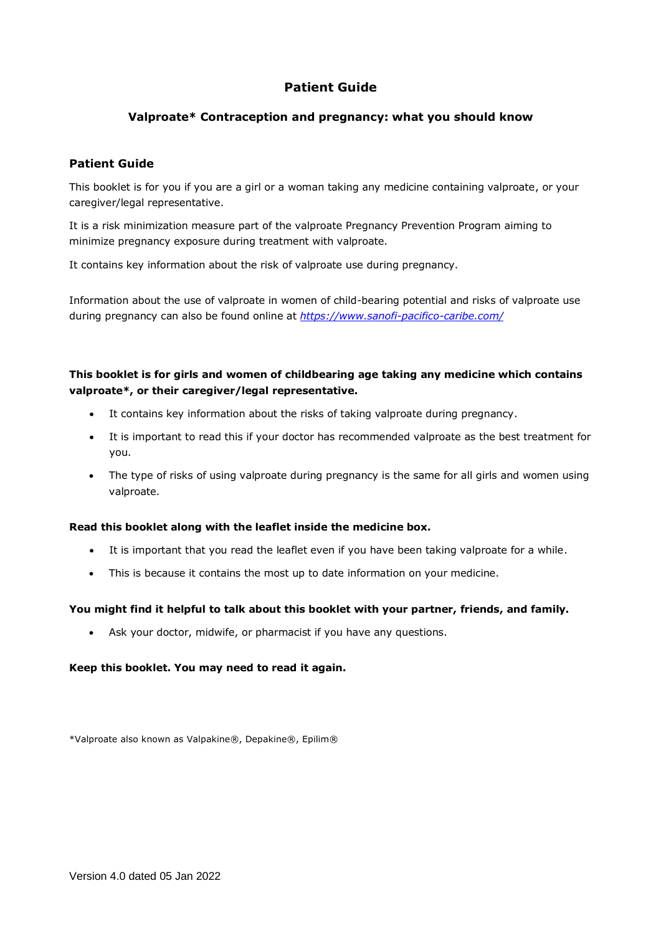# **Patient Guide**

## **Valproate\* Contraception and pregnancy: what you should know**

## **Patient Guide**

This booklet is for you if you are a girl or a woman taking any medicine containing valproate, or your caregiver/legal representative.

It is a risk minimization measure part of the valproate Pregnancy Prevention Program aiming to minimize pregnancy exposure during treatment with valproate.

It contains key information about the risk of valproate use during pregnancy.

Information about the use of valproate in women of child-bearing potential and risks of valproate use during pregnancy can also be found online at *<https://www.sanofi-pacifico-caribe.com/>*

# **This booklet is for girls and women of childbearing age taking any medicine which contains valproate\*, or their caregiver/legal representative.**

- It contains key information about the risks of taking valproate during pregnancy.
- It is important to read this if your doctor has recommended valproate as the best treatment for you.
- The type of risks of using valproate during pregnancy is the same for all girls and women using valproate.

### **Read this booklet along with the leaflet inside the medicine box.**

- It is important that you read the leaflet even if you have been taking valproate for a while.
- This is because it contains the most up to date information on your medicine.

## **You might find it helpful to talk about this booklet with your partner, friends, and family.**

• Ask your doctor, midwife, or pharmacist if you have any questions.

### **Keep this booklet. You may need to read it again.**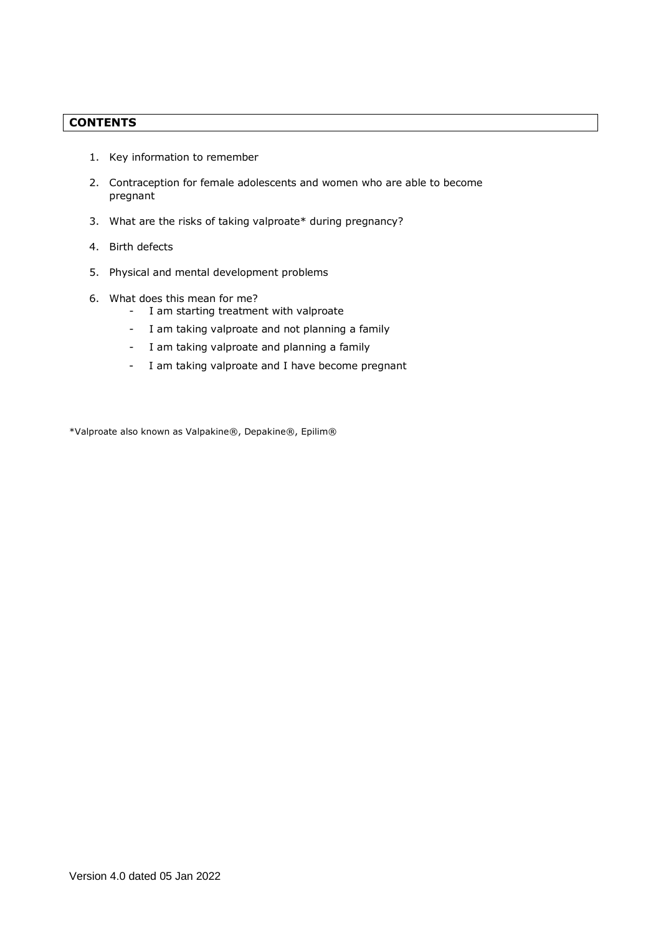# **CONTENTS**

- 1. Key information to remember
- 2. Contraception for female adolescents and women who are able to become pregnant
- 3. What are the risks of taking valproate\* during pregnancy?
- 4. Birth defects
- 5. Physical and mental development problems
- 6. What does this mean for me?
	- I am starting treatment with valproate
	- I am taking valproate and not planning a family
	- I am taking valproate and planning a family
	- I am taking valproate and I have become pregnant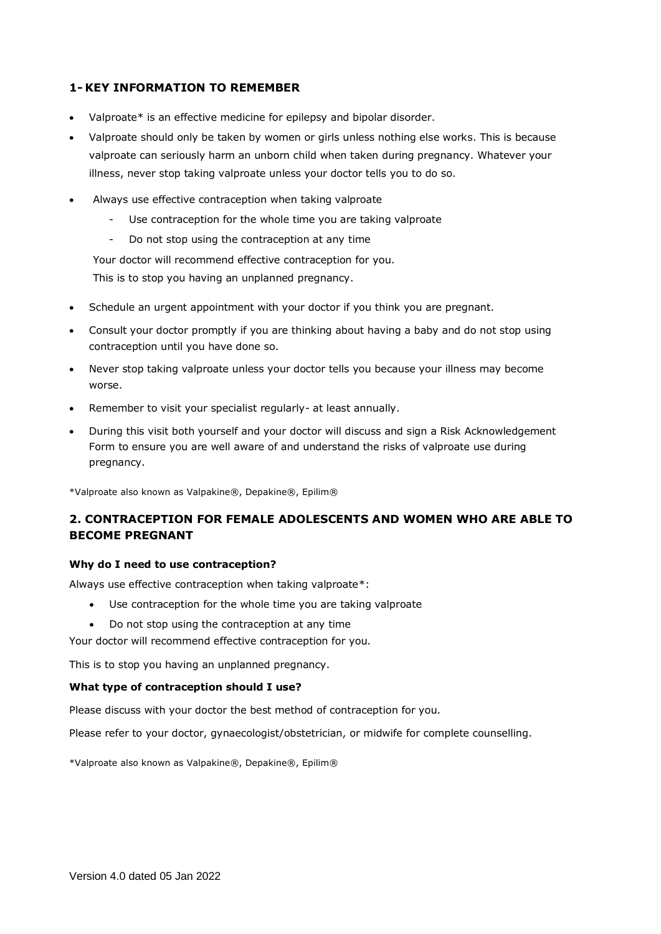# **1- KEY INFORMATION TO REMEMBER**

- Valproate\* is an effective medicine for epilepsy and bipolar disorder.
- Valproate should only be taken by women or girls unless nothing else works. This is because valproate can seriously harm an unborn child when taken during pregnancy. Whatever your illness, never stop taking valproate unless your doctor tells you to do so.
- Always use effective contraception when taking valproate
	- Use contraception for the whole time you are taking valproate
	- Do not stop using the contraception at any time

Your doctor will recommend effective contraception for you. This is to stop you having an unplanned pregnancy.

- Schedule an urgent appointment with your doctor if you think you are pregnant.
- Consult your doctor promptly if you are thinking about having a baby and do not stop using contraception until you have done so.
- Never stop taking valproate unless your doctor tells you because your illness may become worse.
- Remember to visit your specialist regularly- at least annually.
- During this visit both yourself and your doctor will discuss and sign a Risk Acknowledgement Form to ensure you are well aware of and understand the risks of valproate use during pregnancy.

\*Valproate also known as Valpakine®, Depakine®, Epilim®

# **2. CONTRACEPTION FOR FEMALE ADOLESCENTS AND WOMEN WHO ARE ABLE TO BECOME PREGNANT**

### **Why do I need to use contraception?**

Always use effective contraception when taking valproate\*:

- Use contraception for the whole time you are taking valproate
- Do not stop using the contraception at any time

Your doctor will recommend effective contraception for you.

This is to stop you having an unplanned pregnancy.

### **What type of contraception should I use?**

Please discuss with your doctor the best method of contraception for you.

Please refer to your doctor, gynaecologist/obstetrician, or midwife for complete counselling.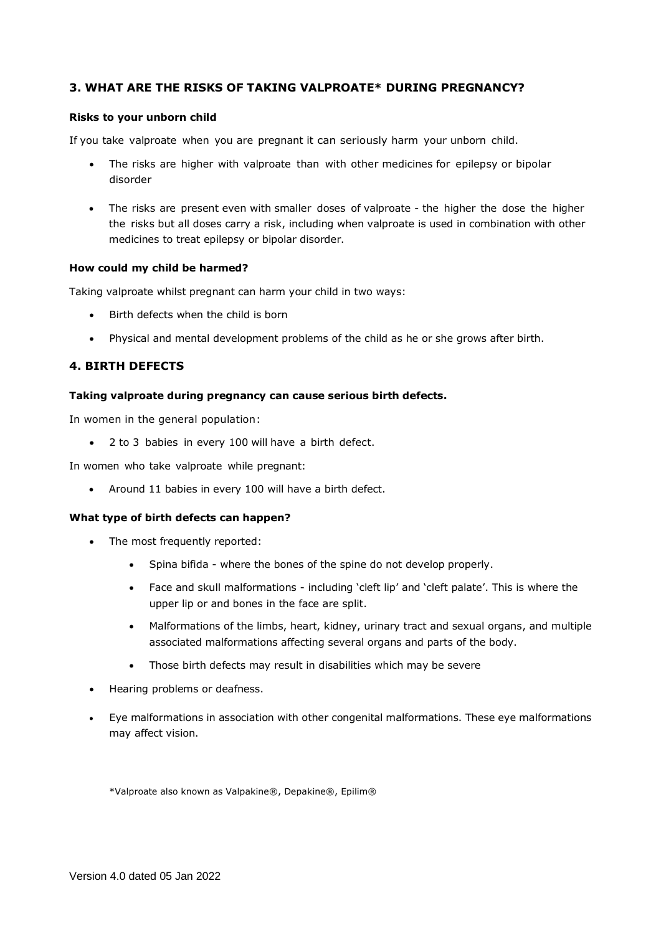# **3. WHAT ARE THE RISKS OF TAKING VALPROATE\* DURING PREGNANCY?**

### **Risks to your unborn child**

If you take valproate when you are pregnant it can seriously harm your unborn child.

- The risks are higher with valproate than with other medicines for epilepsy or bipolar disorder
- The risks are present even with smaller doses of valproate the higher the dose the higher the risks but all doses carry a risk, including when valproate is used in combination with other medicines to treat epilepsy or bipolar disorder.

#### **How could my child be harmed?**

Taking valproate whilst pregnant can harm your child in two ways:

- Birth defects when the child is born
- Physical and mental development problems of the child as he or she grows after birth.

### **4. BIRTH DEFECTS**

### **Taking valproate during pregnancy can cause serious birth defects.**

In women in the general population:

• 2 to 3 babies in every 100 will have a birth defect.

In women who take valproate while pregnant:

• Around 11 babies in every 100 will have a birth defect.

#### **What type of birth defects can happen?**

- The most frequently reported:
	- Spina bifida where the bones of the spine do not develop properly.
	- Face and skull malformations including 'cleft lip' and 'cleft palate'. This is where the upper lip or and bones in the face are split.
	- Malformations of the limbs, heart, kidney, urinary tract and sexual organs, and multiple associated malformations affecting several organs and parts of the body.
	- Those birth defects may result in disabilities which may be severe
- Hearing problems or deafness.
- Eye malformations in association with other congenital malformations. These eye malformations may affect vision.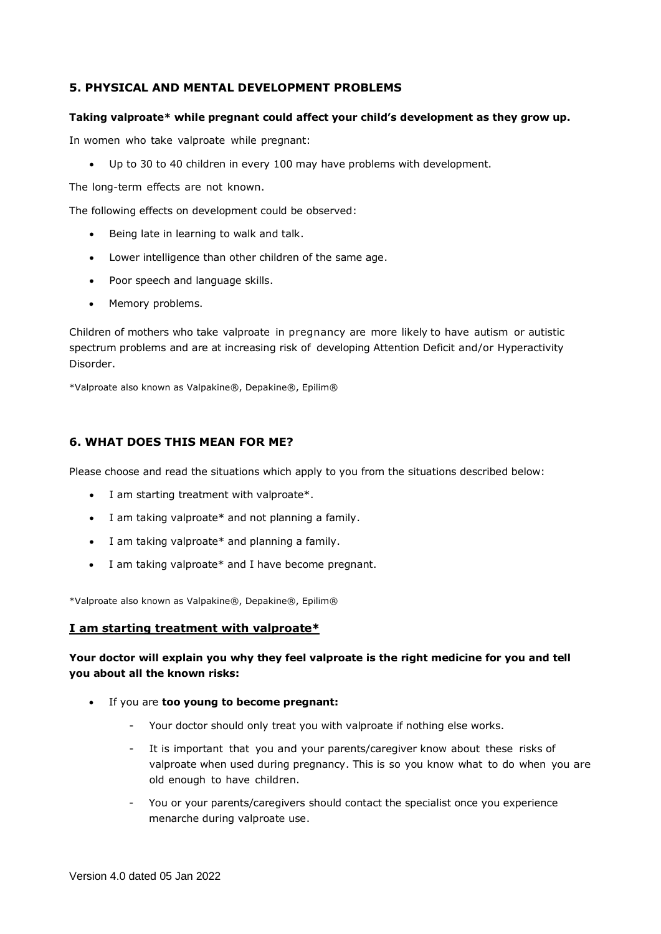## **5. PHYSICAL AND MENTAL DEVELOPMENT PROBLEMS**

### **Taking valproate\* while pregnant could affect your child's development as they grow up.**

In women who take valproate while pregnant:

• Up to 30 to 40 children in every 100 may have problems with development.

The long-term effects are not known.

The following effects on development could be observed:

- Being late in learning to walk and talk.
- Lower intelligence than other children of the same age.
- Poor speech and language skills.
- Memory problems.

Children of mothers who take valproate in pregnancy are more likely to have autism or autistic spectrum problems and are at increasing risk of developing Attention Deficit and/or Hyperactivity Disorder.

\*Valproate also known as Valpakine®, Depakine®, Epilim®

## **6. WHAT DOES THIS MEAN FOR ME?**

Please choose and read the situations which apply to you from the situations described below:

- I am starting treatment with valproate\*.
- I am taking valproate\* and not planning a family.
- I am taking valproate\* and planning a family.
- I am taking valproate\* and I have become pregnant.

\*Valproate also known as Valpakine®, Depakine®, Epilim®

## **I am starting treatment with valproate\***

# **Your doctor will explain you why they feel valproate is the right medicine for you and tell you about all the known risks:**

- If you are **too young to become pregnant:**
	- Your doctor should only treat you with valproate if nothing else works.
	- It is important that you and your parents/caregiver know about these risks of valproate when used during pregnancy. This is so you know what to do when you are old enough to have children.
	- You or your parents/caregivers should contact the specialist once you experience menarche during valproate use.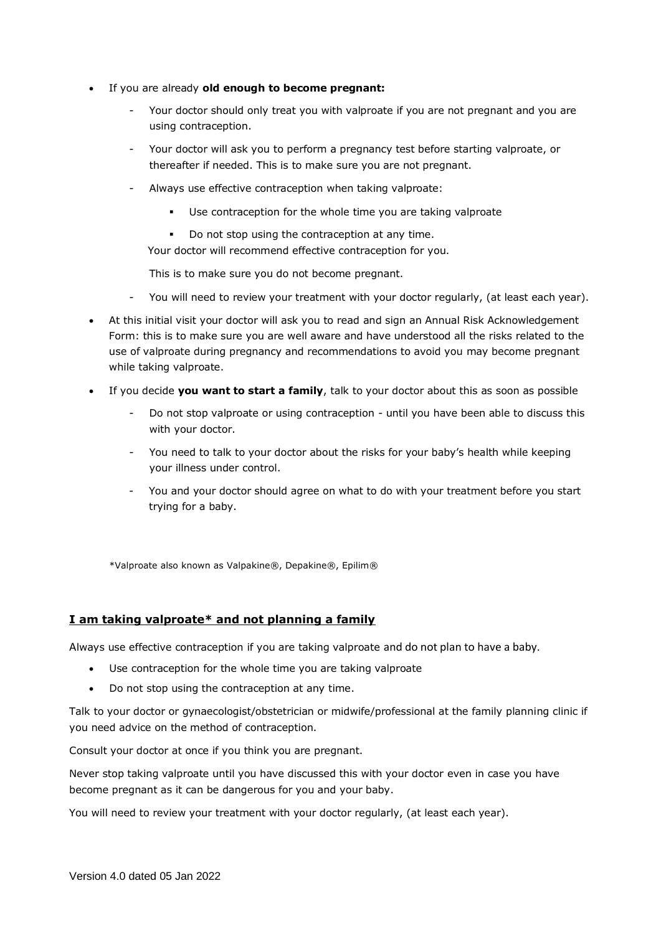- If you are already **old enough to become pregnant:**
	- Your doctor should only treat you with valproate if you are not pregnant and you are using contraception.
	- Your doctor will ask you to perform a pregnancy test before starting valproate, or thereafter if needed. This is to make sure you are not pregnant.
	- Always use effective contraception when taking valproate:
		- Use contraception for the whole time you are taking valproate
		- Do not stop using the contraception at any time.

Your doctor will recommend effective contraception for you.

This is to make sure you do not become pregnant.

- You will need to review your treatment with your doctor regularly, (at least each year).
- At this initial visit your doctor will ask you to read and sign an Annual Risk Acknowledgement Form: this is to make sure you are well aware and have understood all the risks related to the use of valproate during pregnancy and recommendations to avoid you may become pregnant while taking valproate.
- If you decide **you want to start a family**, talk to your doctor about this as soon as possible
	- Do not stop valproate or using contraception until you have been able to discuss this with your doctor.
	- You need to talk to your doctor about the risks for your baby's health while keeping your illness under control.
	- You and your doctor should agree on what to do with your treatment before you start trying for a baby.

\*Valproate also known as Valpakine®, Depakine®, Epilim®

# **I am taking valproate\* and not planning a family**

Always use effective contraception if you are taking valproate and do not plan to have a baby.

- Use contraception for the whole time you are taking valproate
- Do not stop using the contraception at any time.

Talk to your doctor or gynaecologist/obstetrician or midwife/professional at the family planning clinic if you need advice on the method of contraception.

Consult your doctor at once if you think you are pregnant.

Never stop taking valproate until you have discussed this with your doctor even in case you have become pregnant as it can be dangerous for you and your baby.

You will need to review your treatment with your doctor regularly, (at least each year).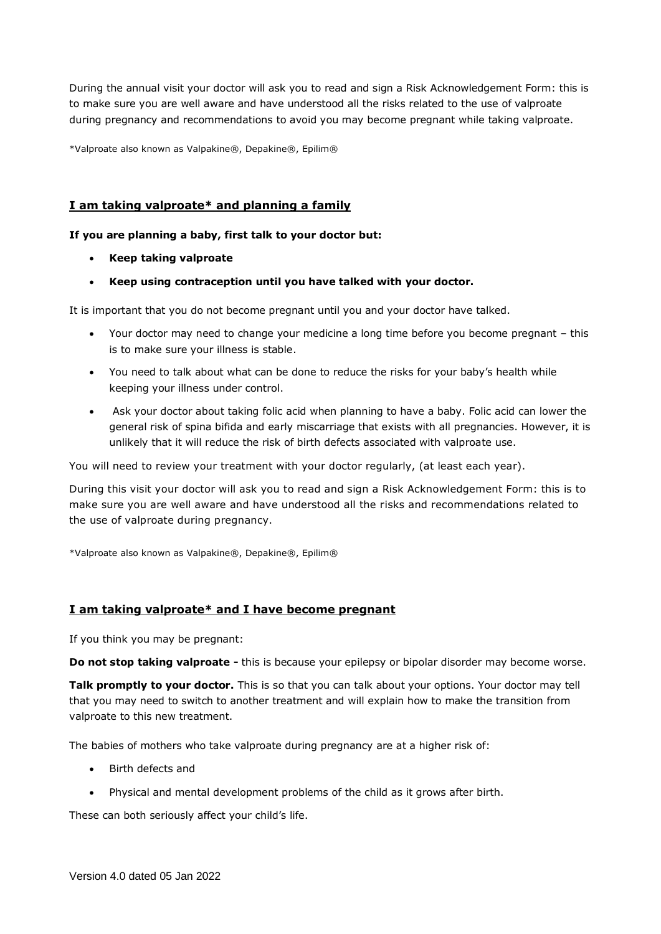During the annual visit your doctor will ask you to read and sign a Risk Acknowledgement Form: this is to make sure you are well aware and have understood all the risks related to the use of valproate during pregnancy and recommendations to avoid you may become pregnant while taking valproate.

\*Valproate also known as Valpakine®, Depakine®, Epilim®

## **I am taking valproate\* and planning a family**

### **If you are planning a baby, first talk to your doctor but:**

- **Keep taking valproate**
- **Keep using contraception until you have talked with your doctor.**

It is important that you do not become pregnant until you and your doctor have talked.

- Your doctor may need to change your medicine a long time before you become pregnant this is to make sure your illness is stable.
- You need to talk about what can be done to reduce the risks for your baby's health while keeping your illness under control.
- Ask your doctor about taking folic acid when planning to have a baby. Folic acid can lower the general risk of spina bifida and early miscarriage that exists with all pregnancies. However, it is unlikely that it will reduce the risk of birth defects associated with valproate use.

You will need to review your treatment with your doctor regularly, (at least each year).

During this visit your doctor will ask you to read and sign a Risk Acknowledgement Form: this is to make sure you are well aware and have understood all the risks and recommendations related to the use of valproate during pregnancy.

\*Valproate also known as Valpakine®, Depakine®, Epilim®

## **I am taking valproate\* and I have become pregnant**

If you think you may be pregnant:

**Do not stop taking valproate -** this is because your epilepsy or bipolar disorder may become worse.

**Talk promptly to your doctor.** This is so that you can talk about your options. Your doctor may tell that you may need to switch to another treatment and will explain how to make the transition from valproate to this new treatment.

The babies of mothers who take valproate during pregnancy are at a higher risk of:

- Birth defects and
- Physical and mental development problems of the child as it grows after birth.

These can both seriously affect your child's life.